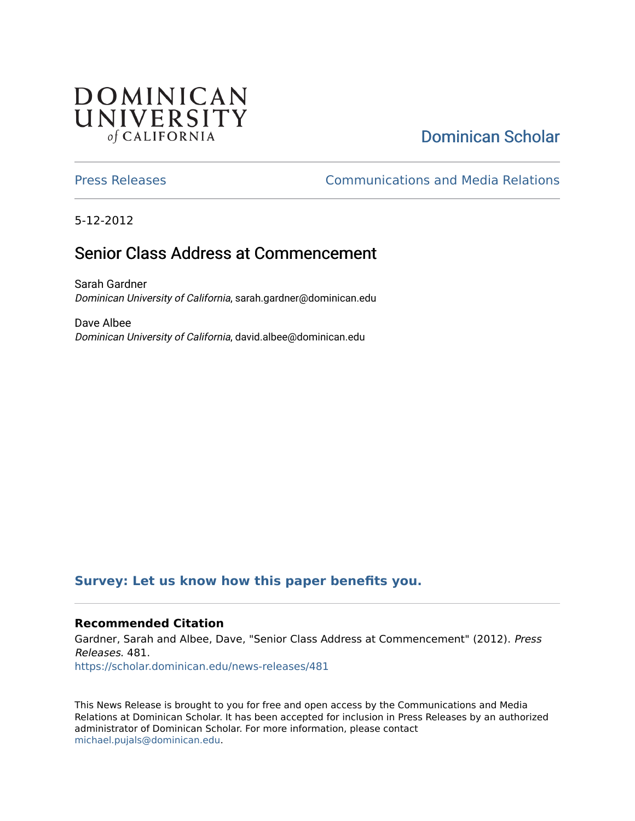## **DOMINICAN** UNIVERSITY of CALIFORNIA

# [Dominican Scholar](https://scholar.dominican.edu/)

[Press Releases](https://scholar.dominican.edu/news-releases) [Communications and Media Relations](https://scholar.dominican.edu/communications-media) 

5-12-2012

## Senior Class Address at Commencement

Sarah Gardner Dominican University of California, sarah.gardner@dominican.edu

Dave Albee Dominican University of California, david.albee@dominican.edu

## **[Survey: Let us know how this paper benefits you.](https://dominican.libwizard.com/dominican-scholar-feedback)**

#### **Recommended Citation**

Gardner, Sarah and Albee, Dave, "Senior Class Address at Commencement" (2012). Press Releases. 481. [https://scholar.dominican.edu/news-releases/481](https://scholar.dominican.edu/news-releases/481?utm_source=scholar.dominican.edu%2Fnews-releases%2F481&utm_medium=PDF&utm_campaign=PDFCoverPages)

This News Release is brought to you for free and open access by the Communications and Media Relations at Dominican Scholar. It has been accepted for inclusion in Press Releases by an authorized administrator of Dominican Scholar. For more information, please contact [michael.pujals@dominican.edu.](mailto:michael.pujals@dominican.edu)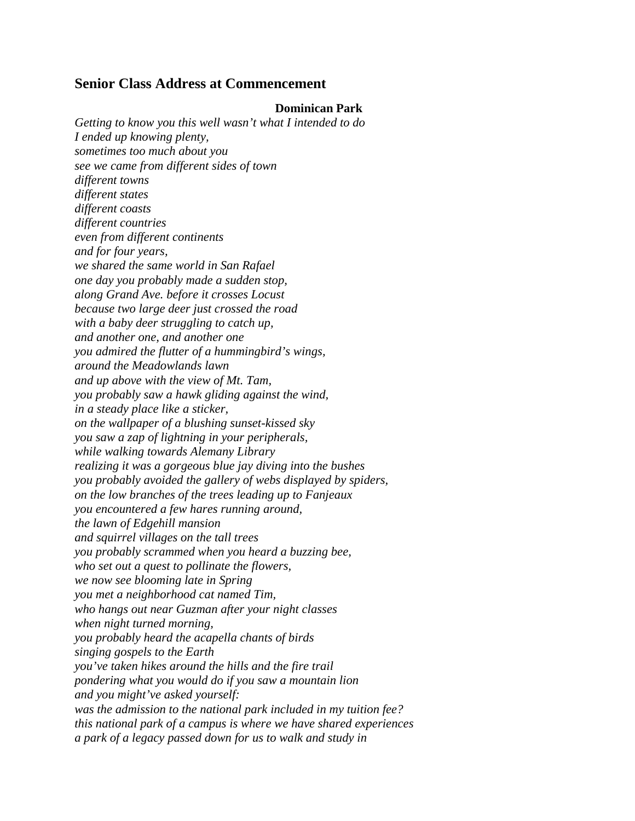### **Senior Class Address at Commencement**

#### **Dominican Park**

*Getting to know you this well wasn't what I intended to do I ended up knowing plenty, sometimes too much about you see we came from different sides of town different towns different states different coasts different countries even from different continents and for four years, we shared the same world in San Rafael one day you probably made a sudden stop, along Grand Ave. before it crosses Locust because two large deer just crossed the road with a baby deer struggling to catch up, and another one, and another one you admired the flutter of a hummingbird's wings, around the Meadowlands lawn and up above with the view of Mt. Tam, you probably saw a hawk gliding against the wind, in a steady place like a sticker, on the wallpaper of a blushing sunset-kissed sky you saw a zap of lightning in your peripherals, while walking towards Alemany Library realizing it was a gorgeous blue jay diving into the bushes you probably avoided the gallery of webs displayed by spiders, on the low branches of the trees leading up to Fanjeaux you encountered a few hares running around, the lawn of Edgehill mansion and squirrel villages on the tall trees you probably scrammed when you heard a buzzing bee, who set out a quest to pollinate the flowers, we now see blooming late in Spring you met a neighborhood cat named Tim, who hangs out near Guzman after your night classes when night turned morning, you probably heard the acapella chants of birds singing gospels to the Earth you've taken hikes around the hills and the fire trail pondering what you would do if you saw a mountain lion and you might've asked yourself: was the admission to the national park included in my tuition fee? this national park of a campus is where we have shared experiences a park of a legacy passed down for us to walk and study in*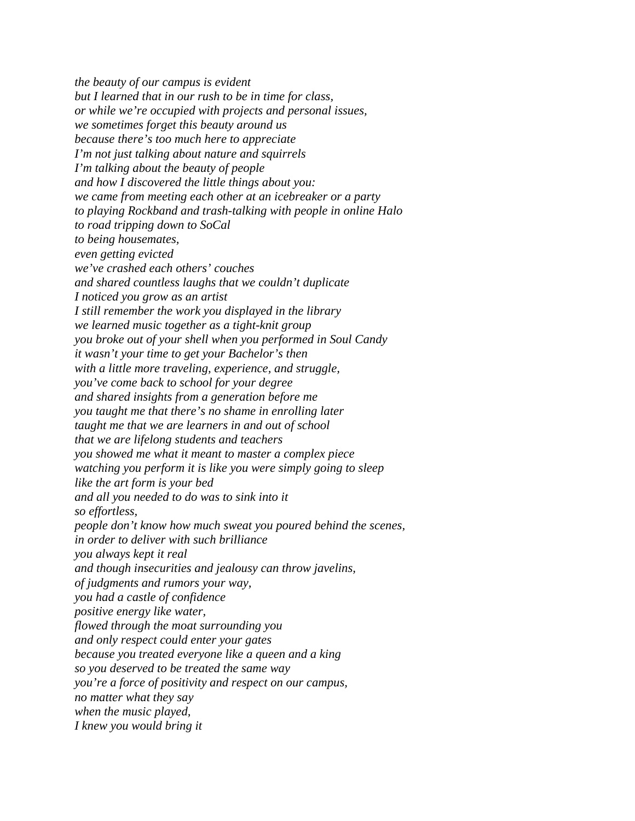*the beauty of our campus is evident but I learned that in our rush to be in time for class, or while we're occupied with projects and personal issues, we sometimes forget this beauty around us because there's too much here to appreciate I'm not just talking about nature and squirrels I'm talking about the beauty of people and how I discovered the little things about you: we came from meeting each other at an icebreaker or a party to playing Rockband and trash-talking with people in online Halo to road tripping down to SoCal to being housemates, even getting evicted we've crashed each others' couches and shared countless laughs that we couldn't duplicate I noticed you grow as an artist I still remember the work you displayed in the library we learned music together as a tight-knit group you broke out of your shell when you performed in Soul Candy it wasn't your time to get your Bachelor's then with a little more traveling, experience, and struggle, you've come back to school for your degree and shared insights from a generation before me you taught me that there's no shame in enrolling later taught me that we are learners in and out of school that we are lifelong students and teachers you showed me what it meant to master a complex piece watching you perform it is like you were simply going to sleep like the art form is your bed and all you needed to do was to sink into it so effortless, people don't know how much sweat you poured behind the scenes, in order to deliver with such brilliance you always kept it real and though insecurities and jealousy can throw javelins, of judgments and rumors your way, you had a castle of confidence positive energy like water, flowed through the moat surrounding you and only respect could enter your gates because you treated everyone like a queen and a king so you deserved to be treated the same way you're a force of positivity and respect on our campus, no matter what they say when the music played, I knew you would bring it*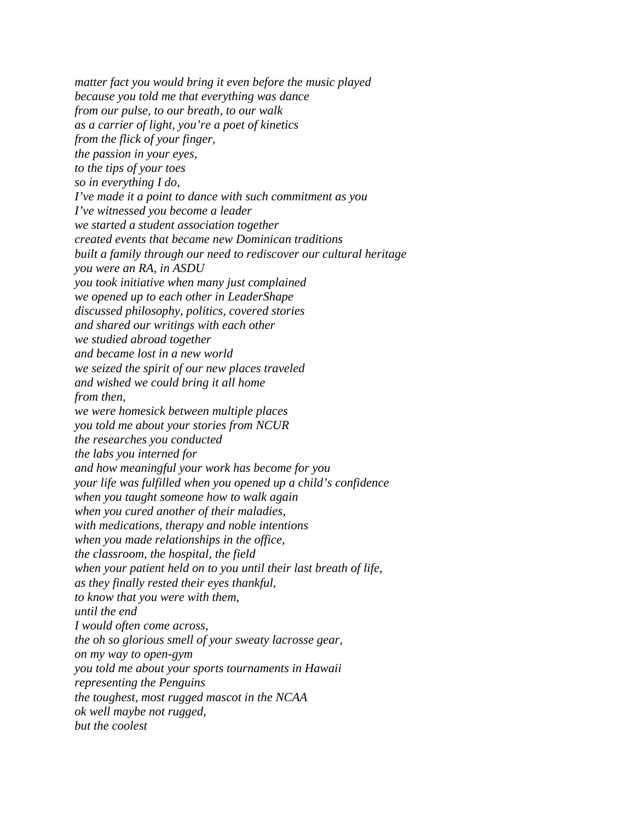*matter fact you would bring it even before the music played because you told me that everything was dance from our pulse, to our breath, to our walk as a carrier of light, you're a poet of kinetics from the flick of your finger, the passion in your eyes, to the tips of your toes so in everything I do, I've made it a point to dance with such commitment as you I've witnessed you become a leader we started a student association together created events that became new Dominican traditions built a family through our need to rediscover our cultural heritage you were an RA, in ASDU you took initiative when many just complained we opened up to each other in LeaderShape discussed philosophy, politics, covered stories and shared our writings with each other we studied abroad together and became lost in a new world we seized the spirit of our new places traveled and wished we could bring it all home from then, we were homesick between multiple places you told me about your stories from NCUR the researches you conducted the labs you interned for and how meaningful your work has become for you your life was fulfilled when you opened up a child's confidence when you taught someone how to walk again when you cured another of their maladies, with medications, therapy and noble intentions when you made relationships in the office, the classroom, the hospital, the field when your patient held on to you until their last breath of life, as they finally rested their eyes thankful, to know that you were with them, until the end I would often come across, the oh so glorious smell of your sweaty lacrosse gear, on my way to open-gym you told me about your sports tournaments in Hawaii representing the Penguins the toughest, most rugged mascot in the NCAA ok well maybe not rugged, but the coolest*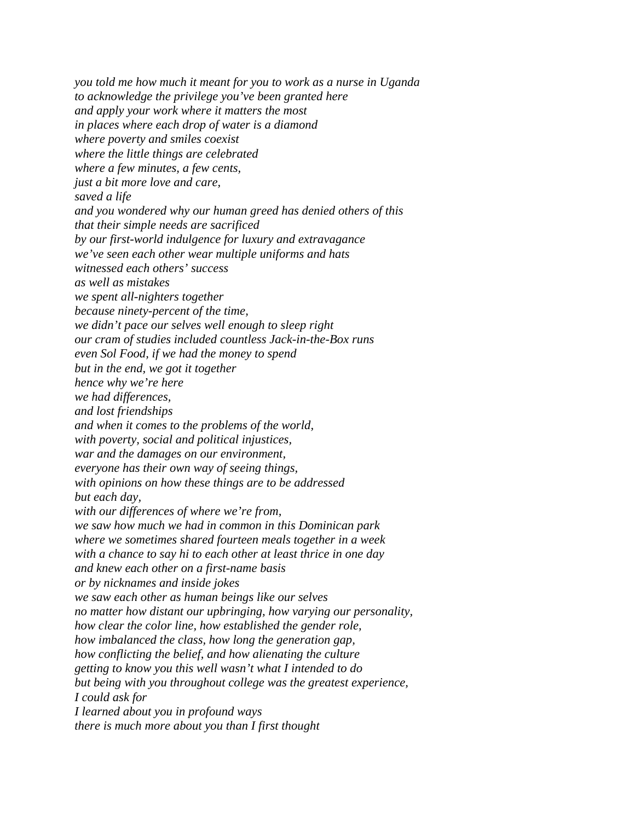*you told me how much it meant for you to work as a nurse in Uganda to acknowledge the privilege you've been granted here and apply your work where it matters the most in places where each drop of water is a diamond where poverty and smiles coexist where the little things are celebrated where a few minutes, a few cents, just a bit more love and care, saved a life and you wondered why our human greed has denied others of this that their simple needs are sacrificed by our first-world indulgence for luxury and extravagance we've seen each other wear multiple uniforms and hats witnessed each others' success as well as mistakes we spent all-nighters together because ninety-percent of the time, we didn't pace our selves well enough to sleep right our cram of studies included countless Jack-in-the-Box runs even Sol Food, if we had the money to spend but in the end, we got it together hence why we're here we had differences, and lost friendships and when it comes to the problems of the world, with poverty, social and political injustices, war and the damages on our environment, everyone has their own way of seeing things, with opinions on how these things are to be addressed but each day, with our differences of where we're from, we saw how much we had in common in this Dominican park where we sometimes shared fourteen meals together in a week with a chance to say hi to each other at least thrice in one day and knew each other on a first-name basis or by nicknames and inside jokes we saw each other as human beings like our selves no matter how distant our upbringing, how varying our personality, how clear the color line, how established the gender role, how imbalanced the class, how long the generation gap, how conflicting the belief, and how alienating the culture getting to know you this well wasn't what I intended to do but being with you throughout college was the greatest experience, I could ask for I learned about you in profound ways there is much more about you than I first thought*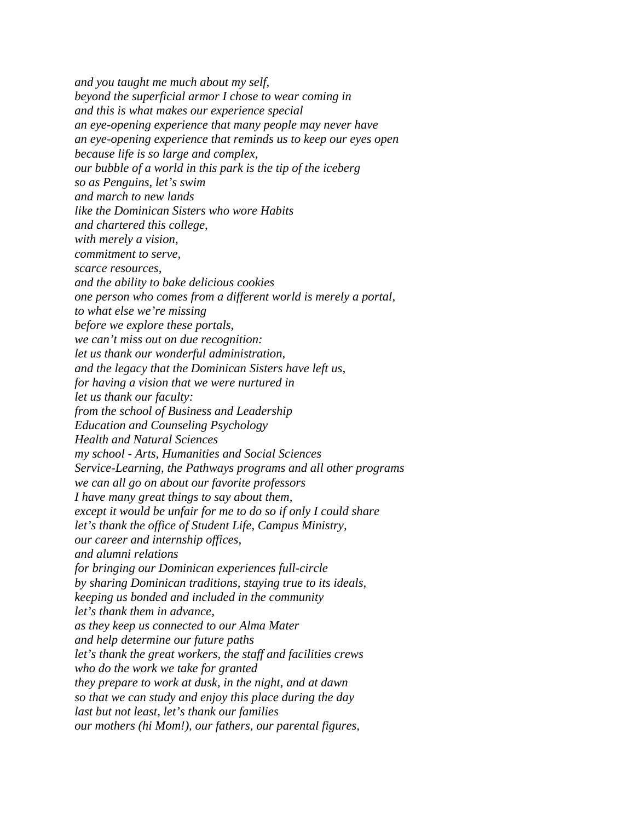*and you taught me much about my self, beyond the superficial armor I chose to wear coming in and this is what makes our experience special an eye-opening experience that many people may never have an eye-opening experience that reminds us to keep our eyes open because life is so large and complex, our bubble of a world in this park is the tip of the iceberg so as Penguins, let's swim and march to new lands like the Dominican Sisters who wore Habits and chartered this college, with merely a vision, commitment to serve, scarce resources, and the ability to bake delicious cookies one person who comes from a different world is merely a portal, to what else we're missing before we explore these portals, we can't miss out on due recognition: let us thank our wonderful administration, and the legacy that the Dominican Sisters have left us, for having a vision that we were nurtured in let us thank our faculty: from the school of Business and Leadership Education and Counseling Psychology Health and Natural Sciences my school - Arts, Humanities and Social Sciences Service-Learning, the Pathways programs and all other programs we can all go on about our favorite professors I have many great things to say about them, except it would be unfair for me to do so if only I could share let's thank the office of Student Life, Campus Ministry, our career and internship offices, and alumni relations for bringing our Dominican experiences full-circle by sharing Dominican traditions, staying true to its ideals, keeping us bonded and included in the community let's thank them in advance, as they keep us connected to our Alma Mater and help determine our future paths let's thank the great workers, the staff and facilities crews who do the work we take for granted they prepare to work at dusk, in the night, and at dawn so that we can study and enjoy this place during the day last but not least, let's thank our families our mothers (hi Mom!), our fathers, our parental figures,*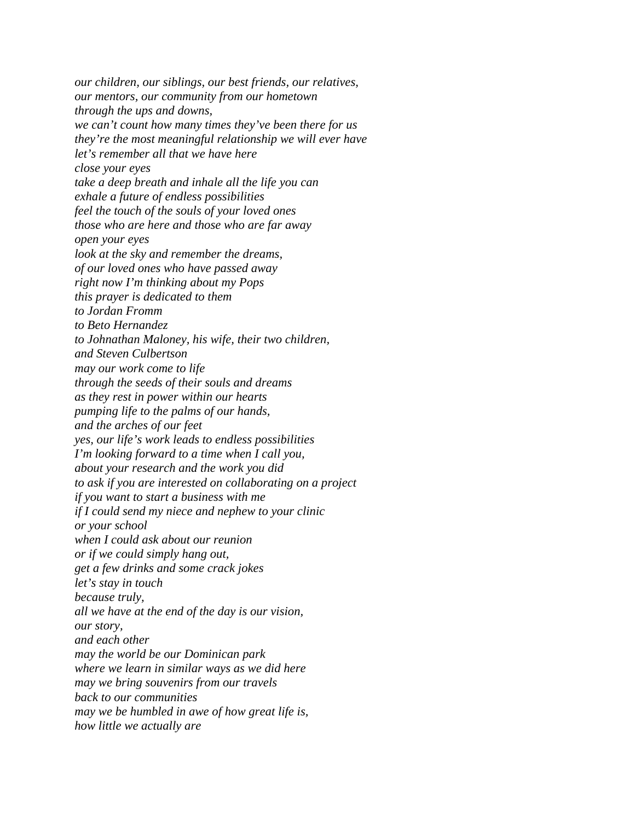*our children, our siblings, our best friends, our relatives, our mentors, our community from our hometown through the ups and downs, we can't count how many times they've been there for us they're the most meaningful relationship we will ever have let's remember all that we have here close your eyes take a deep breath and inhale all the life you can exhale a future of endless possibilities feel the touch of the souls of your loved ones those who are here and those who are far away open your eyes look at the sky and remember the dreams, of our loved ones who have passed away right now I'm thinking about my Pops this prayer is dedicated to them to Jordan Fromm to Beto Hernandez to Johnathan Maloney, his wife, their two children, and Steven Culbertson may our work come to life through the seeds of their souls and dreams as they rest in power within our hearts pumping life to the palms of our hands, and the arches of our feet yes, our life's work leads to endless possibilities I'm looking forward to a time when I call you, about your research and the work you did to ask if you are interested on collaborating on a project if you want to start a business with me if I could send my niece and nephew to your clinic or your school when I could ask about our reunion or if we could simply hang out, get a few drinks and some crack jokes let's stay in touch because truly, all we have at the end of the day is our vision, our story, and each other may the world be our Dominican park where we learn in similar ways as we did here may we bring souvenirs from our travels back to our communities may we be humbled in awe of how great life is, how little we actually are*